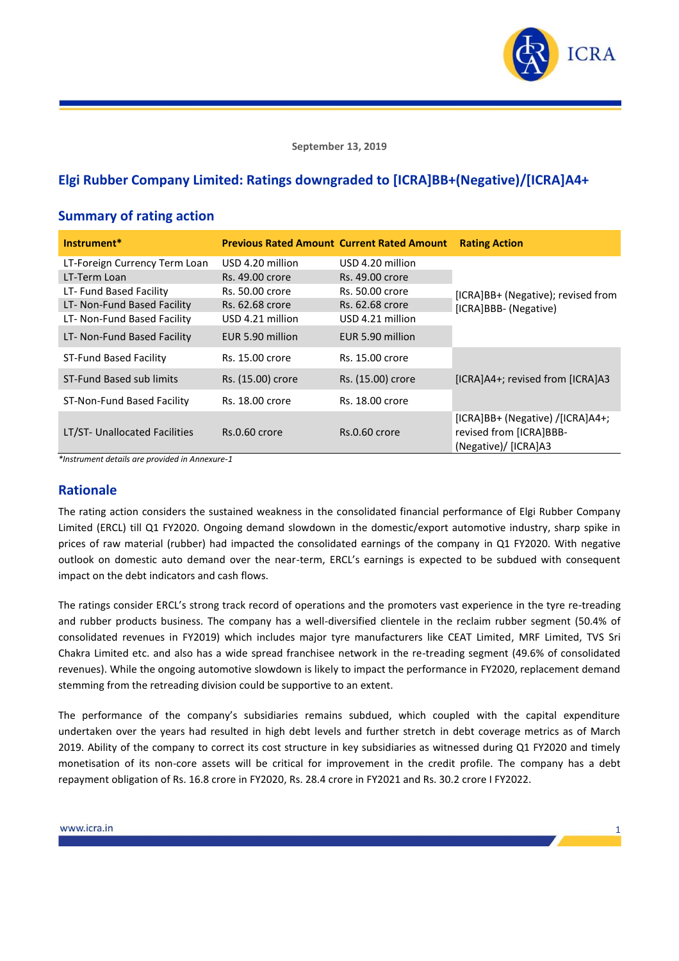

**September 13, 2019**

# **Elgi Rubber Company Limited: Ratings downgraded to [ICRA]BB+(Negative)/[ICRA]A4+**

### **Summary of rating action**

| Instrument*                   | <b>Previous Rated Amount Current Rated Amount</b> |                   | <b>Rating Action</b>                                                                   |
|-------------------------------|---------------------------------------------------|-------------------|----------------------------------------------------------------------------------------|
| LT-Foreign Currency Term Loan | USD 4.20 million                                  | USD 4.20 million  |                                                                                        |
| LT-Term Loan                  | Rs. 49.00 crore                                   | Rs. 49.00 crore   |                                                                                        |
| LT- Fund Based Facility       | Rs. 50.00 crore                                   | Rs. 50.00 crore   | [ICRA]BB+ (Negative); revised from                                                     |
| LT- Non-Fund Based Facility   | Rs. 62.68 crore                                   | Rs. 62.68 crore   | [ICRA]BBB- (Negative)                                                                  |
| LT- Non-Fund Based Facility   | USD 4.21 million                                  | USD 4.21 million  |                                                                                        |
| LT- Non-Fund Based Facility   | EUR 5.90 million                                  | EUR 5.90 million  |                                                                                        |
| ST-Fund Based Facility        | Rs. 15.00 crore                                   | Rs. 15.00 crore   |                                                                                        |
| ST-Fund Based sub limits      | Rs. (15.00) crore                                 | Rs. (15.00) crore | [ICRA]A4+; revised from [ICRA]A3                                                       |
| ST-Non-Fund Based Facility    | Rs. 18.00 crore                                   | Rs. 18.00 crore   |                                                                                        |
| LT/ST- Unallocated Facilities | Rs.0.60 crore                                     | Rs.0.60 crore     | $[ICRA]BB+ (Negative) / [ICRA]AA+;$<br>revised from [ICRA]BBB-<br>(Negative)/ [ICRA]A3 |

*\*Instrument details are provided in Annexure-1*

#### **Rationale**

The rating action considers the sustained weakness in the consolidated financial performance of Elgi Rubber Company Limited (ERCL) till Q1 FY2020. Ongoing demand slowdown in the domestic/export automotive industry, sharp spike in prices of raw material (rubber) had impacted the consolidated earnings of the company in Q1 FY2020. With negative outlook on domestic auto demand over the near-term, ERCL's earnings is expected to be subdued with consequent impact on the debt indicators and cash flows.

The ratings consider ERCL's strong track record of operations and the promoters vast experience in the tyre re-treading and rubber products business. The company has a well-diversified clientele in the reclaim rubber segment (50.4% of consolidated revenues in FY2019) which includes major tyre manufacturers like CEAT Limited, MRF Limited, TVS Sri Chakra Limited etc. and also has a wide spread franchisee network in the re-treading segment (49.6% of consolidated revenues). While the ongoing automotive slowdown is likely to impact the performance in FY2020, replacement demand stemming from the retreading division could be supportive to an extent.

The performance of the company's subsidiaries remains subdued, which coupled with the capital expenditure undertaken over the years had resulted in high debt levels and further stretch in debt coverage metrics as of March 2019. Ability of the company to correct its cost structure in key subsidiaries as witnessed during Q1 FY2020 and timely monetisation of its non-core assets will be critical for improvement in the credit profile. The company has a debt repayment obligation of Rs. 16.8 crore in FY2020, Rs. 28.4 crore in FY2021 and Rs. 30.2 crore I FY2022.

1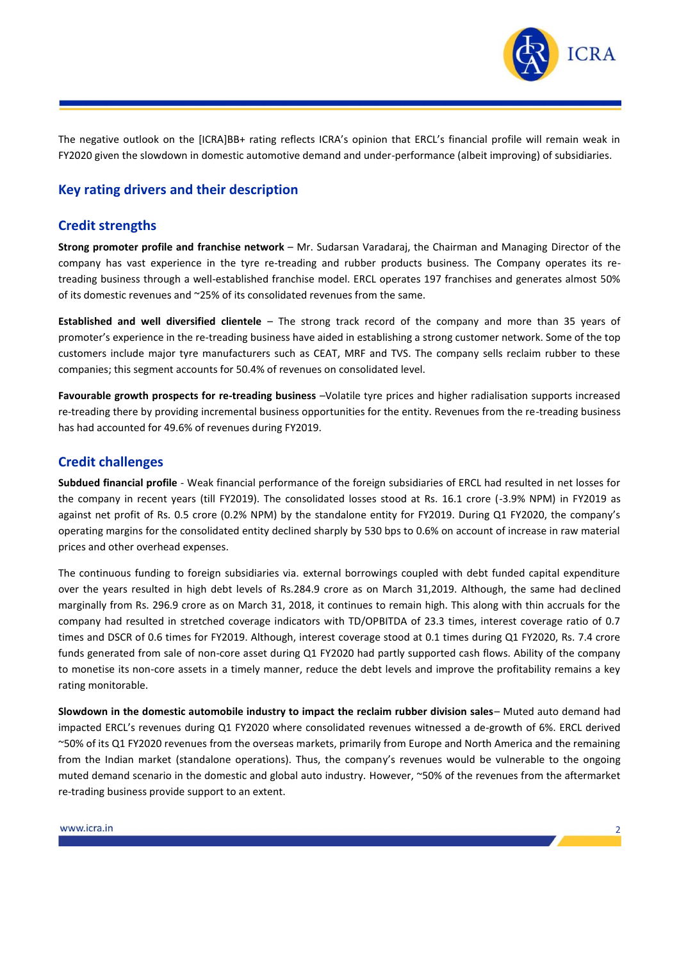

The negative outlook on the [ICRA]BB+ rating reflects ICRA's opinion that ERCL's financial profile will remain weak in FY2020 given the slowdown in domestic automotive demand and under-performance (albeit improving) of subsidiaries.

## **Key rating drivers and their description**

#### **Credit strengths**

**Strong promoter profile and franchise network** – Mr. Sudarsan Varadaraj, the Chairman and Managing Director of the company has vast experience in the tyre re-treading and rubber products business. The Company operates its retreading business through a well-established franchise model. ERCL operates 197 franchises and generates almost 50% of its domestic revenues and ~25% of its consolidated revenues from the same.

**Established and well diversified clientele** – The strong track record of the company and more than 35 years of promoter's experience in the re-treading business have aided in establishing a strong customer network. Some of the top customers include major tyre manufacturers such as CEAT, MRF and TVS. The company sells reclaim rubber to these companies; this segment accounts for 50.4% of revenues on consolidated level.

**Favourable growth prospects for re-treading business** –Volatile tyre prices and higher radialisation supports increased re-treading there by providing incremental business opportunities for the entity. Revenues from the re-treading business has had accounted for 49.6% of revenues during FY2019.

### **Credit challenges**

**Subdued financial profile** - Weak financial performance of the foreign subsidiaries of ERCL had resulted in net losses for the company in recent years (till FY2019). The consolidated losses stood at Rs. 16.1 crore (-3.9% NPM) in FY2019 as against net profit of Rs. 0.5 crore (0.2% NPM) by the standalone entity for FY2019. During Q1 FY2020, the company's operating margins for the consolidated entity declined sharply by 530 bps to 0.6% on account of increase in raw material prices and other overhead expenses.

The continuous funding to foreign subsidiaries via. external borrowings coupled with debt funded capital expenditure over the years resulted in high debt levels of Rs.284.9 crore as on March 31,2019. Although, the same had declined marginally from Rs. 296.9 crore as on March 31, 2018, it continues to remain high. This along with thin accruals for the company had resulted in stretched coverage indicators with TD/OPBITDA of 23.3 times, interest coverage ratio of 0.7 times and DSCR of 0.6 times for FY2019. Although, interest coverage stood at 0.1 times during Q1 FY2020, Rs. 7.4 crore funds generated from sale of non-core asset during Q1 FY2020 had partly supported cash flows. Ability of the company to monetise its non-core assets in a timely manner, reduce the debt levels and improve the profitability remains a key rating monitorable.

**Slowdown in the domestic automobile industry to impact the reclaim rubber division sales**– Muted auto demand had impacted ERCL's revenues during Q1 FY2020 where consolidated revenues witnessed a de-growth of 6%. ERCL derived ~50% of its Q1 FY2020 revenues from the overseas markets, primarily from Europe and North America and the remaining from the Indian market (standalone operations). Thus, the company's revenues would be vulnerable to the ongoing muted demand scenario in the domestic and global auto industry. However, ~50% of the revenues from the aftermarket re-trading business provide support to an extent.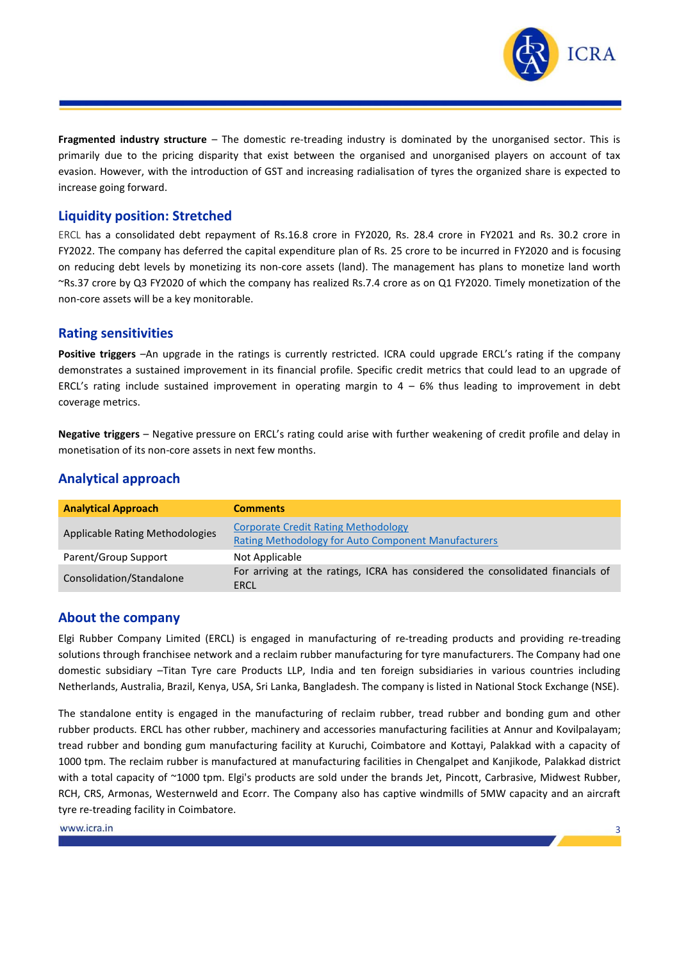

3

**Fragmented industry structure** – The domestic re-treading industry is dominated by the unorganised sector. This is primarily due to the pricing disparity that exist between the organised and unorganised players on account of tax evasion. However, with the introduction of GST and increasing radialisation of tyres the organized share is expected to increase going forward.

#### **Liquidity position: Stretched**

ERCL has a consolidated debt repayment of Rs.16.8 crore in FY2020, Rs. 28.4 crore in FY2021 and Rs. 30.2 crore in FY2022. The company has deferred the capital expenditure plan of Rs. 25 crore to be incurred in FY2020 and is focusing on reducing debt levels by monetizing its non-core assets (land). The management has plans to monetize land worth ~Rs.37 crore by Q3 FY2020 of which the company has realized Rs.7.4 crore as on Q1 FY2020. Timely monetization of the non-core assets will be a key monitorable.

#### **Rating sensitivities**

**Positive triggers** –An upgrade in the ratings is currently restricted. ICRA could upgrade ERCL's rating if the company demonstrates a sustained improvement in its financial profile. Specific credit metrics that could lead to an upgrade of ERCL's rating include sustained improvement in operating margin to  $4 - 6%$  thus leading to improvement in debt coverage metrics.

**Negative triggers** – Negative pressure on ERCL's rating could arise with further weakening of credit profile and delay in monetisation of its non-core assets in next few months.

### **Analytical approach**

| <b>Analytical Approach</b>      | <b>Comments</b>                                                                                          |
|---------------------------------|----------------------------------------------------------------------------------------------------------|
| Applicable Rating Methodologies | <b>Corporate Credit Rating Methodology</b><br><b>Rating Methodology for Auto Component Manufacturers</b> |
| Parent/Group Support            | Not Applicable                                                                                           |
| Consolidation/Standalone        | For arriving at the ratings, ICRA has considered the consolidated financials of<br>ERCL                  |

#### **About the company**

Elgi Rubber Company Limited (ERCL) is engaged in manufacturing of re-treading products and providing re-treading solutions through franchisee network and a reclaim rubber manufacturing for tyre manufacturers. The Company had one domestic subsidiary –Titan Tyre care Products LLP, India and ten foreign subsidiaries in various countries including Netherlands, Australia, Brazil, Kenya, USA, Sri Lanka, Bangladesh. The company is listed in National Stock Exchange (NSE).

The standalone entity is engaged in the manufacturing of reclaim rubber, tread rubber and bonding gum and other rubber products. ERCL has other rubber, machinery and accessories manufacturing facilities at Annur and Kovilpalayam; tread rubber and bonding gum manufacturing facility at Kuruchi, Coimbatore and Kottayi, Palakkad with a capacity of 1000 tpm. The reclaim rubber is manufactured at manufacturing facilities in Chengalpet and Kanjikode, Palakkad district with a total capacity of ~1000 tpm. Elgi's products are sold under the brands Jet, Pincott, Carbrasive, Midwest Rubber, RCH, CRS, Armonas, Westernweld and Ecorr. The Company also has captive windmills of 5MW capacity and an aircraft tyre re-treading facility in Coimbatore.

www.icra.in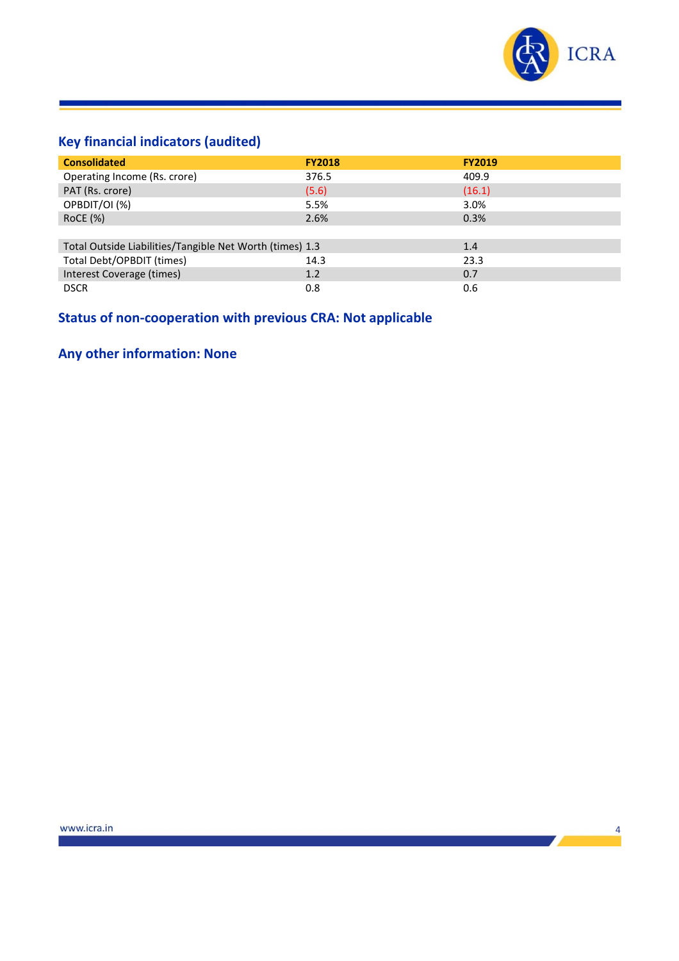

# **Key financial indicators (audited)**

| <b>Consolidated</b>                                      | <b>FY2018</b> | <b>FY2019</b> |
|----------------------------------------------------------|---------------|---------------|
| Operating Income (Rs. crore)                             | 376.5         | 409.9         |
| PAT (Rs. crore)                                          | (5.6)         | (16.1)        |
| OPBDIT/OI (%)                                            | 5.5%          | 3.0%          |
| <b>RoCE</b> (%)                                          | 2.6%          | 0.3%          |
|                                                          |               |               |
| Total Outside Liabilities/Tangible Net Worth (times) 1.3 |               | 1.4           |
| Total Debt/OPBDIT (times)                                | 14.3          | 23.3          |
| Interest Coverage (times)                                | 1.2           | 0.7           |
| <b>DSCR</b>                                              | 0.8           | 0.6           |

# **Status of non-cooperation with previous CRA: Not applicable**

# **Any other information: None**

the contract of the contract of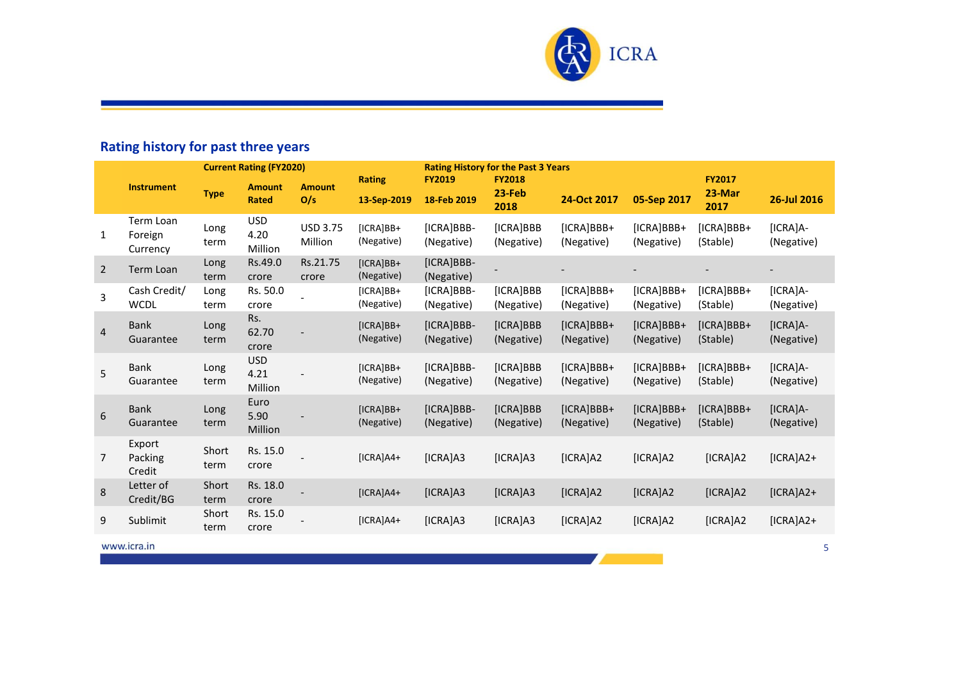

# **Rating history for past three years**

| <b>Current Rating (FY2020)</b> |                                  |               |                               | <b>Rating History for the Past 3 Years</b> |                           |                          |                         |                          |                            |                          |                          |
|--------------------------------|----------------------------------|---------------|-------------------------------|--------------------------------------------|---------------------------|--------------------------|-------------------------|--------------------------|----------------------------|--------------------------|--------------------------|
|                                | <b>Instrument</b>                |               | <b>Amount</b>                 | <b>Amount</b>                              | <b>Rating</b>             | <b>FY2019</b>            | <b>FY2018</b><br>23-Feb |                          |                            | <b>FY2017</b><br>23-Mar  |                          |
|                                |                                  | <b>Type</b>   | <b>Rated</b>                  | O/s                                        | 13-Sep-2019               | 18-Feb 2019              | 2018                    | 24-Oct 2017              | 05-Sep 2017                | 2017                     | 26-Jul 2016              |
| $\mathbf{1}$                   | Term Loan<br>Foreign<br>Currency | Long<br>term  | <b>USD</b><br>4.20<br>Million | <b>USD 3.75</b><br>Million                 | $[ICRA]BB+$<br>(Negative) | [ICRA]BBB-<br>(Negative) | [ICRA]BBB<br>(Negative) | [ICRA]BBB+<br>(Negative) | [ICRA]BBB+<br>(Negative)   | [ICRA]BBB+<br>(Stable)   | $[ICRA]A-$<br>(Negative) |
| $\overline{2}$                 | Term Loan                        | Long<br>term  | Rs.49.0<br>crore              | Rs.21.75<br>crore                          | $[ICRA]BB+$<br>(Negative) | [ICRA]BBB-<br>(Negative) |                         |                          |                            |                          |                          |
| 3                              | Cash Credit/<br><b>WCDL</b>      | Long<br>term  | Rs. 50.0<br>crore             |                                            | $[ICRA]BB+$<br>(Negative) | [ICRA]BBB-<br>(Negative) | [ICRA]BBB<br>(Negative) | [ICRA]BBB+<br>(Negative) | $[ICRA]BBB+$<br>(Negative) | [ICRA]BBB+<br>(Stable)   | [ICRA]A-<br>(Negative)   |
| $\overline{\mathbf{4}}$        | <b>Bank</b><br>Guarantee         | Long<br>term  | Rs.<br>62.70<br>crore         |                                            | $[ICRA]BB+$<br>(Negative) | [ICRA]BBB-<br>(Negative) | [ICRA]BBB<br>(Negative) | [ICRA]BBB+<br>(Negative) | [ICRA]BBB+<br>(Negative)   | [ICRA]BBB+<br>(Stable)   | $[ICRA]A-$<br>(Negative) |
| 5                              | <b>Bank</b><br>Guarantee         | Long<br>term  | <b>USD</b><br>4.21<br>Million |                                            | $[ICRA]BB+$<br>(Negative) | [ICRA]BBB-<br>(Negative) | [ICRA]BBB<br>(Negative) | [ICRA]BBB+<br>(Negative) | $[ICRA]BBB+$<br>(Negative) | [ICRA]BBB+<br>(Stable)   | [ICRA]A-<br>(Negative)   |
| 6                              | <b>Bank</b><br>Guarantee         | Long<br>term  | Euro<br>5.90<br>Million       |                                            | $[ICRA]BB+$<br>(Negative) | [ICRA]BBB-<br>(Negative) | [ICRA]BBB<br>(Negative) | [ICRA]BBB+<br>(Negative) | $[ICRA]BBB+$<br>(Negative) | $[ICRA]BBB+$<br>(Stable) | $[ICRA]A-$<br>(Negative) |
| $\overline{7}$                 | Export<br>Packing<br>Credit      | Short<br>term | Rs. 15.0<br>crore             |                                            | $[ICRA]AA+$               | [ICRA]A3                 | [ICRA]A3                | [ICRA]A2                 | [ICRA]A2                   | [ICRA]A2                 | $[ICRA]A2+$              |
| 8                              | Letter of<br>Credit/BG           | Short<br>term | Rs. 18.0<br>crore             |                                            | $[ICRA]AA+$               | [ICRA]A3                 | [ICRA]A3                | [ICRA]A2                 | [ICRA]A2                   | [ICRA]A2                 | $[ICRA]$ A2+             |
| 9                              | Sublimit                         | Short<br>term | Rs. 15.0<br>crore             |                                            | $[ICRA]AA+$               | [ICRA]A3                 | [ICRA]A3                | [ICRA]A2                 | [ICRA]A2                   | [ICRA]A2                 | $[ICRA]$ A2+             |
|                                | www.icra.in                      |               |                               |                                            |                           |                          |                         |                          |                            |                          | 5                        |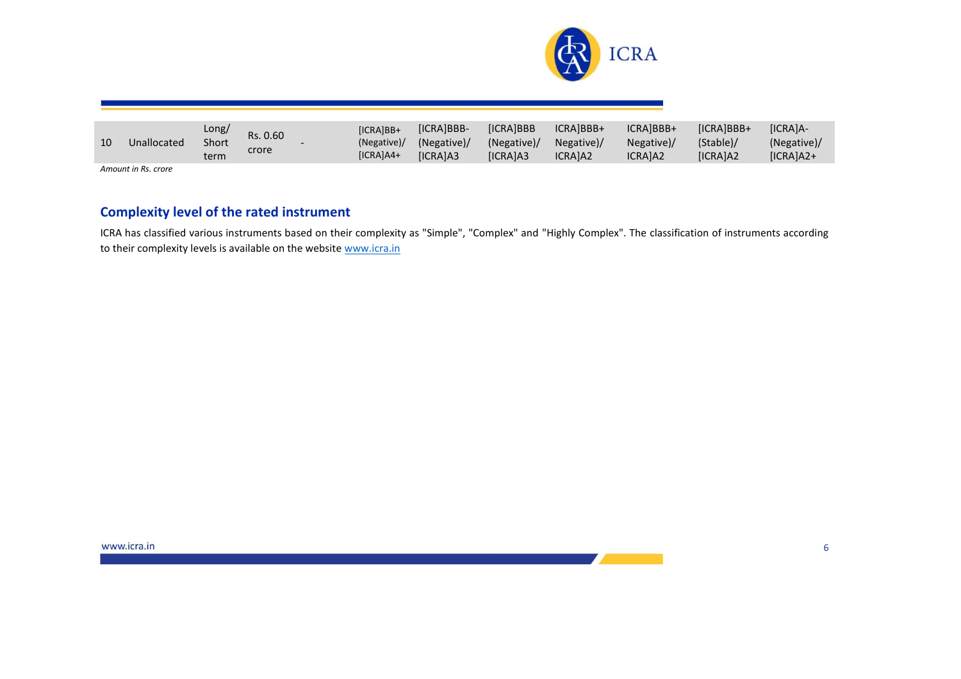

| 10 | Unallocated         | Long/<br>Short<br>term | Rs. 0.60<br>crore | <b>IICRAIBB+</b><br>(Negative)<br>$[ICRA]AA+$ | <b>[ICRAIBBB-</b><br>(Negative)/<br><b>ICRAIA3</b> | <b>ICRAIBBB</b><br>(Negative)/<br><b>IICRAIA3</b> | ICRAIBBB+<br>Negative)/<br>ICRAIA2 | ICRAIBBB+<br>Negative)/<br><b>ICRAIA2</b> | [ICRA]BBB+<br>(Stable)/<br>[ICRA]A2 | <b>IICRAIA-</b><br>(Negative)/<br>$[ICRA]A2+$ |
|----|---------------------|------------------------|-------------------|-----------------------------------------------|----------------------------------------------------|---------------------------------------------------|------------------------------------|-------------------------------------------|-------------------------------------|-----------------------------------------------|
|    | Amount in Rs. crore |                        |                   |                                               |                                                    |                                                   |                                    |                                           |                                     |                                               |

## **Complexity level of the rated instrument**

ICRA has classified various instruments based on their complexity as "Simple", "Complex" and "Highly Complex". The classification of instruments according to their complexity levels is available on the website [www.icra.in](https://www.icra.in/Rating/ShowRatingPolicyReport/?id=1&type=new)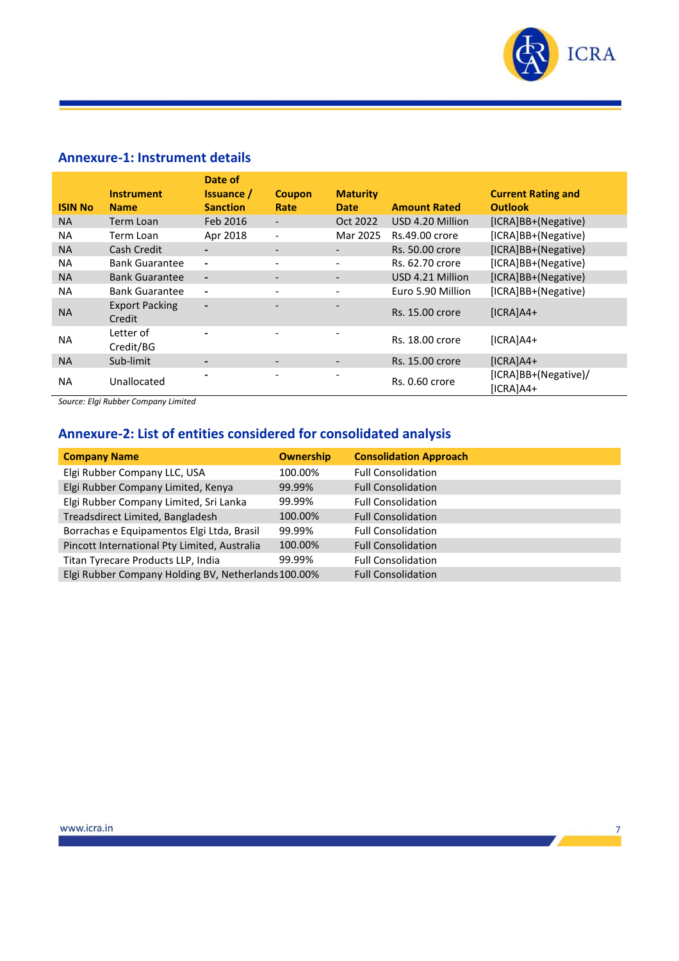

# **Annexure-1: Instrument details**

|                | <b>Instrument</b>               | Date of<br><b>Issuance</b> / | <b>Coupon</b>            | <b>Maturity</b>          |                     | <b>Current Rating and</b>           |
|----------------|---------------------------------|------------------------------|--------------------------|--------------------------|---------------------|-------------------------------------|
| <b>ISIN No</b> | <b>Name</b>                     | <b>Sanction</b>              | Rate                     | <b>Date</b>              | <b>Amount Rated</b> | <b>Outlook</b>                      |
| <b>NA</b>      | Term Loan                       | Feb 2016                     | $\overline{\phantom{a}}$ | Oct 2022                 | USD 4.20 Million    | [ICRA]BB+(Negative)                 |
| <b>NA</b>      | Term Loan                       | Apr 2018                     | $\overline{\phantom{0}}$ | Mar 2025                 | Rs.49.00 crore      | [ICRA]BB+(Negative)                 |
| <b>NA</b>      | Cash Credit                     |                              | $\overline{\phantom{a}}$ | $\overline{\phantom{a}}$ | Rs. 50.00 crore     | [ICRA]BB+(Negative)                 |
| <b>NA</b>      | <b>Bank Guarantee</b>           | $\blacksquare$               | $\overline{\phantom{0}}$ | $\overline{\phantom{a}}$ | Rs. 62.70 crore     | [ICRA]BB+(Negative)                 |
| <b>NA</b>      | <b>Bank Guarantee</b>           | $\overline{\phantom{a}}$     | $\qquad \qquad -$        | $\overline{\phantom{a}}$ | USD 4.21 Million    | [ICRA]BB+(Negative)                 |
| <b>NA</b>      | <b>Bank Guarantee</b>           | $\blacksquare$               | $\overline{\phantom{0}}$ |                          | Euro 5.90 Million   | [ICRA]BB+(Negative)                 |
| <b>NA</b>      | <b>Export Packing</b><br>Credit | $\overline{\phantom{0}}$     | $\overline{\phantom{0}}$ | $\overline{\phantom{0}}$ | Rs. 15.00 crore     | $[ICRA]AA+$                         |
| <b>NA</b>      | Letter of<br>Credit/BG          |                              |                          |                          | Rs. 18.00 crore     | $[ICRA]AA+$                         |
| <b>NA</b>      | Sub-limit                       | -                            | $\overline{\phantom{a}}$ |                          | Rs. 15.00 crore     | $[ICRA]AA+$                         |
| <b>NA</b>      | Unallocated                     |                              |                          |                          | Rs. 0.60 crore      | [ICRA]BB+(Negative)/<br>$[ICRA]AA+$ |

*Source: Elgi Rubber Company Limited*

# **Annexure-2: List of entities considered for consolidated analysis**

| <b>Company Name</b>                                 | <b>Ownership</b> | <b>Consolidation Approach</b> |
|-----------------------------------------------------|------------------|-------------------------------|
| Elgi Rubber Company LLC, USA                        | 100.00%          | <b>Full Consolidation</b>     |
| Elgi Rubber Company Limited, Kenya                  | 99.99%           | <b>Full Consolidation</b>     |
| Elgi Rubber Company Limited, Sri Lanka              | 99.99%           | <b>Full Consolidation</b>     |
| Treadsdirect Limited, Bangladesh                    | 100.00%          | <b>Full Consolidation</b>     |
| Borrachas e Equipamentos Elgi Ltda, Brasil          | 99.99%           | <b>Full Consolidation</b>     |
| Pincott International Pty Limited, Australia        | 100.00%          | <b>Full Consolidation</b>     |
| Titan Tyrecare Products LLP, India                  | 99.99%           | <b>Full Consolidation</b>     |
| Elgi Rubber Company Holding BV, Netherlands 100.00% |                  | <b>Full Consolidation</b>     |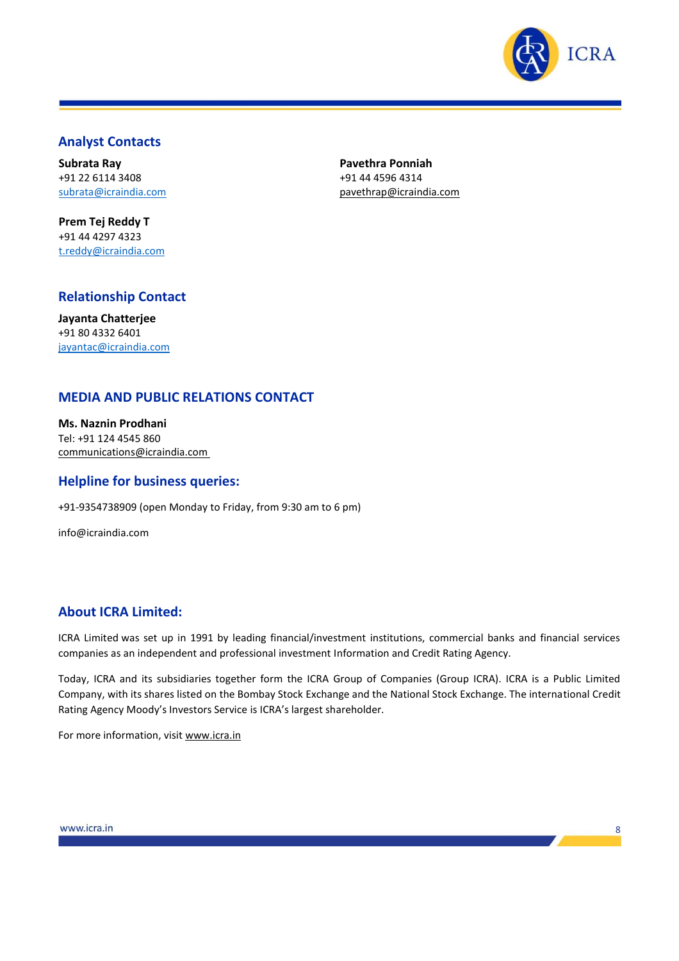

8

## **Analyst Contacts**

**Subrata Ray** +91 22 6114 3408 [subrata@icraindia.com](mailto:subrata@icraindia.com)

**Prem Tej Reddy T** +91 44 4297 4323 t.reddy@icraindia.com **Pavethra Ponniah** +91 44 4596 4314 [pavethrap@icraindia.com](mailto:pavethrap@icraindia.com)

# **Relationship Contact**

**Jayanta Chatterjee** +91 80 4332 6401 [jayantac@icraindia.com](mailto:jayantac@icraindia.com)

## **MEDIA AND PUBLIC RELATIONS CONTACT**

**Ms. Naznin Prodhani** Tel: +91 124 4545 860 communications@icraindia.com

#### **Helpline for business queries:**

+91-9354738909 (open Monday to Friday, from 9:30 am to 6 pm)

info@icraindia.com

## **About ICRA Limited:**

ICRA Limited was set up in 1991 by leading financial/investment institutions, commercial banks and financial services companies as an independent and professional investment Information and Credit Rating Agency.

Today, ICRA and its subsidiaries together form the ICRA Group of Companies (Group ICRA). ICRA is a Public Limited Company, with its shares listed on the Bombay Stock Exchange and the National Stock Exchange. The international Credit Rating Agency Moody's Investors Service is ICRA's largest shareholder.

For more information, visit [www.icra.in](http://www.icra.in/)